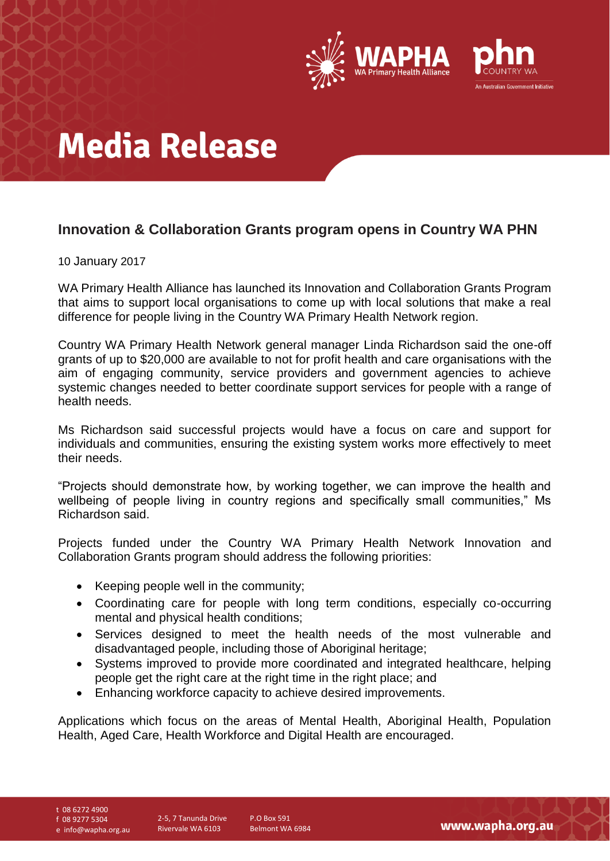

# **Media Release**

### **Innovation & Collaboration Grants program opens in Country WA PHN**

### 10 January 2017

WA Primary Health Alliance has launched its Innovation and Collaboration Grants Program that aims to support local organisations to come up with local solutions that make a real difference for people living in the Country WA Primary Health Network region.

Country WA Primary Health Network general manager Linda Richardson said the one-off grants of up to \$20,000 are available to not for profit health and care organisations with the aim of engaging community, service providers and government agencies to achieve systemic changes needed to better coordinate support services for people with a range of health needs.

Ms Richardson said successful projects would have a focus on care and support for individuals and communities, ensuring the existing system works more effectively to meet their needs.

"Projects should demonstrate how, by working together, we can improve the health and wellbeing of people living in country regions and specifically small communities," Ms Richardson said.

Projects funded under the Country WA Primary Health Network Innovation and Collaboration Grants program should address the following priorities:

- Keeping people well in the community;
- Coordinating care for people with long term conditions, especially co-occurring mental and physical health conditions;
- Services designed to meet the health needs of the most vulnerable and disadvantaged people, including those of Aboriginal heritage;
- Systems improved to provide more coordinated and integrated healthcare, helping people get the right care at the right time in the right place; and
- Enhancing workforce capacity to achieve desired improvements.

Applications which focus on the areas of Mental Health, Aboriginal Health, Population Health, Aged Care, Health Workforce and Digital Health are encouraged.

t 08 6272 4900

f 08 9277 5304

e info@wapha.org.au